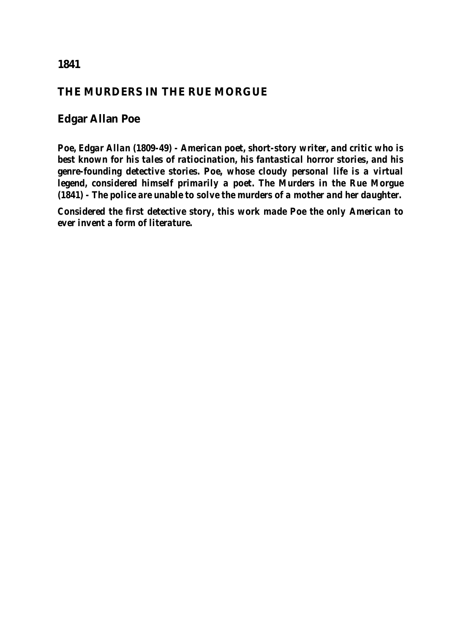## **1841**

## **THE MURDERS IN THE RUE MORGUE**

## **Edgar Allan Poe**

*Poe, Edgar Allan (1809-49) - American poet, short-story writer, and critic who is best known for his tales of ratiocination, his fantastical horror stories, and his genre-founding detective stories. Poe, whose cloudy personal life is a virtual legend, considered himself primarily a poet. The Murders in the Rue Morgue (1841) - The police are unable to solve the murders of a mother and her daughter.*

*Considered the first detective story, this work made Poe the only American to ever invent a form of literature.*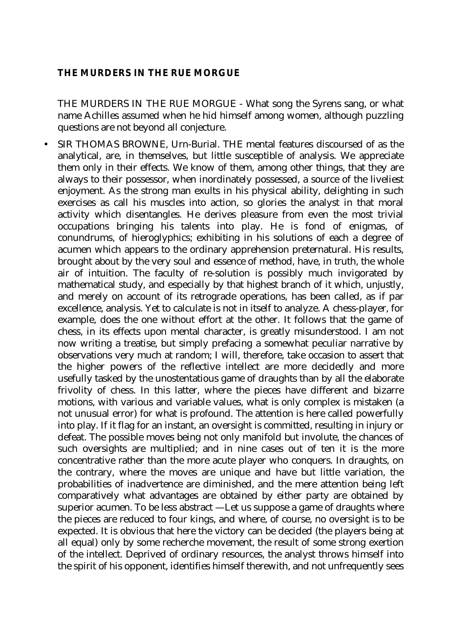#### **THE MURDERS IN THE RUE MORGUE**

THE MURDERS IN THE RUE MORGUE - What song the Syrens sang, or what name Achilles assumed when he hid himself among women, although puzzling questions are not beyond all conjecture.

• SIR THOMAS BROWNE, Urn-Burial. THE mental features discoursed of as the analytical, are, in themselves, but little susceptible of analysis. We appreciate them only in their effects. We know of them, among other things, that they are always to their possessor, when inordinately possessed, a source of the liveliest enjoyment. As the strong man exults in his physical ability, delighting in such exercises as call his muscles into action, so glories the analyst in that moral activity which disentangles. He derives pleasure from even the most trivial occupations bringing his talents into play. He is fond of enigmas, of conundrums, of hieroglyphics; exhibiting in his solutions of each a degree of acumen which appears to the ordinary apprehension preternatural. His results, brought about by the very soul and essence of method, have, in truth, the whole air of intuition. The faculty of re-solution is possibly much invigorated by mathematical study, and especially by that highest branch of it which, unjustly, and merely on account of its retrograde operations, has been called, as if par excellence, analysis. Yet to calculate is not in itself to analyze. A chess-player, for example, does the one without effort at the other. It follows that the game of chess, in its effects upon mental character, is greatly misunderstood. I am not now writing a treatise, but simply prefacing a somewhat peculiar narrative by observations very much at random; I will, therefore, take occasion to assert that the higher powers of the reflective intellect are more decidedly and more usefully tasked by the unostentatious game of draughts than by all the elaborate frivolity of chess. In this latter, where the pieces have different and bizarre motions, with various and variable values, what is only complex is mistaken (a not unusual error) for what is profound. The attention is here called powerfully into play. If it flag for an instant, an oversight is committed, resulting in injury or defeat. The possible moves being not only manifold but involute, the chances of such oversights are multiplied; and in nine cases out of ten it is the more concentrative rather than the more acute player who conquers. In draughts, on the contrary, where the moves are unique and have but little variation, the probabilities of inadvertence are diminished, and the mere attention being left comparatively what advantages are obtained by either party are obtained by superior acumen. To be less abstract —Let us suppose a game of draughts where the pieces are reduced to four kings, and where, of course, no oversight is to be expected. It is obvious that here the victory can be decided (the players being at all equal) only by some recherche movement, the result of some strong exertion of the intellect. Deprived of ordinary resources, the analyst throws himself into the spirit of his opponent, identifies himself therewith, and not unfrequently sees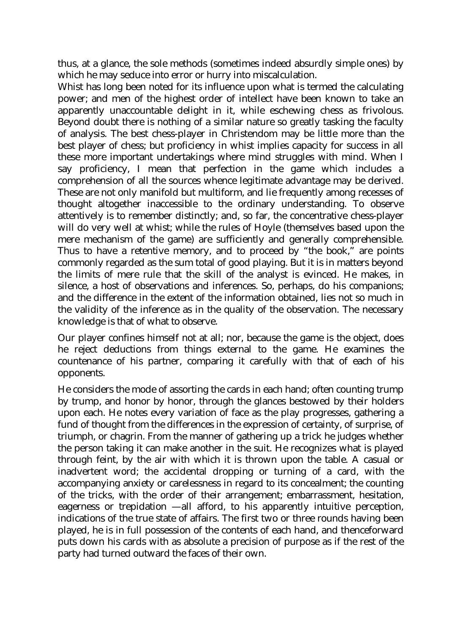thus, at a glance, the sole methods (sometimes indeed absurdly simple ones) by which he may seduce into error or hurry into miscalculation.

Whist has long been noted for its influence upon what is termed the calculating power; and men of the highest order of intellect have been known to take an apparently unaccountable delight in it, while eschewing chess as frivolous. Beyond doubt there is nothing of a similar nature so greatly tasking the faculty of analysis. The best chess-player in Christendom may be little more than the best player of chess; but proficiency in whist implies capacity for success in all these more important undertakings where mind struggles with mind. When I say proficiency, I mean that perfection in the game which includes a comprehension of all the sources whence legitimate advantage may be derived. These are not only manifold but multiform, and lie frequently among recesses of thought altogether inaccessible to the ordinary understanding. To observe attentively is to remember distinctly; and, so far, the concentrative chess-player will do very well at whist; while the rules of Hoyle (themselves based upon the mere mechanism of the game) are sufficiently and generally comprehensible. Thus to have a retentive memory, and to proceed by "the book," are points commonly regarded as the sum total of good playing. But it is in matters beyond the limits of mere rule that the skill of the analyst is evinced. He makes, in silence, a host of observations and inferences. So, perhaps, do his companions; and the difference in the extent of the information obtained, lies not so much in the validity of the inference as in the quality of the observation. The necessary knowledge is that of what to observe.

Our player confines himself not at all; nor, because the game is the object, does he reject deductions from things external to the game. He examines the countenance of his partner, comparing it carefully with that of each of his opponents.

He considers the mode of assorting the cards in each hand; often counting trump by trump, and honor by honor, through the glances bestowed by their holders upon each. He notes every variation of face as the play progresses, gathering a fund of thought from the differences in the expression of certainty, of surprise, of triumph, or chagrin. From the manner of gathering up a trick he judges whether the person taking it can make another in the suit. He recognizes what is played through feint, by the air with which it is thrown upon the table. A casual or inadvertent word; the accidental dropping or turning of a card, with the accompanying anxiety or carelessness in regard to its concealment; the counting of the tricks, with the order of their arrangement; embarrassment, hesitation, eagerness or trepidation —all afford, to his apparently intuitive perception, indications of the true state of affairs. The first two or three rounds having been played, he is in full possession of the contents of each hand, and thenceforward puts down his cards with as absolute a precision of purpose as if the rest of the party had turned outward the faces of their own.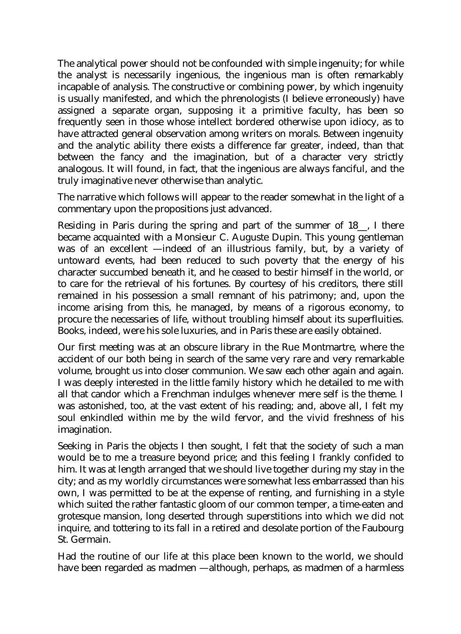The analytical power should not be confounded with simple ingenuity; for while the analyst is necessarily ingenious, the ingenious man is often remarkably incapable of analysis. The constructive or combining power, by which ingenuity is usually manifested, and which the phrenologists (I believe erroneously) have assigned a separate organ, supposing it a primitive faculty, has been so frequently seen in those whose intellect bordered otherwise upon idiocy, as to have attracted general observation among writers on morals. Between ingenuity and the analytic ability there exists a difference far greater, indeed, than that between the fancy and the imagination, but of a character very strictly analogous. It will found, in fact, that the ingenious are always fanciful, and the truly imaginative never otherwise than analytic.

The narrative which follows will appear to the reader somewhat in the light of a commentary upon the propositions just advanced.

Residing in Paris during the spring and part of the summer of 18\_\_, I there became acquainted with a Monsieur C. Auguste Dupin. This young gentleman was of an excellent —indeed of an illustrious family, but, by a variety of untoward events, had been reduced to such poverty that the energy of his character succumbed beneath it, and he ceased to bestir himself in the world, or to care for the retrieval of his fortunes. By courtesy of his creditors, there still remained in his possession a small remnant of his patrimony; and, upon the income arising from this, he managed, by means of a rigorous economy, to procure the necessaries of life, without troubling himself about its superfluities. Books, indeed, were his sole luxuries, and in Paris these are easily obtained.

Our first meeting was at an obscure library in the Rue Montmartre, where the accident of our both being in search of the same very rare and very remarkable volume, brought us into closer communion. We saw each other again and again. I was deeply interested in the little family history which he detailed to me with all that candor which a Frenchman indulges whenever mere self is the theme. I was astonished, too, at the vast extent of his reading; and, above all, I felt my soul enkindled within me by the wild fervor, and the vivid freshness of his imagination.

Seeking in Paris the objects I then sought, I felt that the society of such a man would be to me a treasure beyond price; and this feeling I frankly confided to him. It was at length arranged that we should live together during my stay in the city; and as my worldly circumstances were somewhat less embarrassed than his own, I was permitted to be at the expense of renting, and furnishing in a style which suited the rather fantastic gloom of our common temper, a time-eaten and grotesque mansion, long deserted through superstitions into which we did not inquire, and tottering to its fall in a retired and desolate portion of the Faubourg St. Germain.

Had the routine of our life at this place been known to the world, we should have been regarded as madmen —although, perhaps, as madmen of a harmless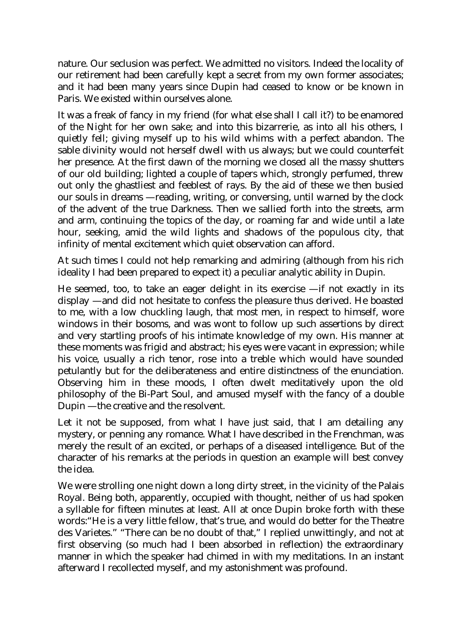nature. Our seclusion was perfect. We admitted no visitors. Indeed the locality of our retirement had been carefully kept a secret from my own former associates; and it had been many years since Dupin had ceased to know or be known in Paris. We existed within ourselves alone.

It was a freak of fancy in my friend (for what else shall I call it?) to be enamored of the Night for her own sake; and into this bizarrerie, as into all his others, I quietly fell; giving myself up to his wild whims with a perfect abandon. The sable divinity would not herself dwell with us always; but we could counterfeit her presence. At the first dawn of the morning we closed all the massy shutters of our old building; lighted a couple of tapers which, strongly perfumed, threw out only the ghastliest and feeblest of rays. By the aid of these we then busied our souls in dreams —reading, writing, or conversing, until warned by the clock of the advent of the true Darkness. Then we sallied forth into the streets, arm and arm, continuing the topics of the day, or roaming far and wide until a late hour, seeking, amid the wild lights and shadows of the populous city, that infinity of mental excitement which quiet observation can afford.

At such times I could not help remarking and admiring (although from his rich ideality I had been prepared to expect it) a peculiar analytic ability in Dupin.

He seemed, too, to take an eager delight in its exercise —if not exactly in its display —and did not hesitate to confess the pleasure thus derived. He boasted to me, with a low chuckling laugh, that most men, in respect to himself, wore windows in their bosoms, and was wont to follow up such assertions by direct and very startling proofs of his intimate knowledge of my own. His manner at these moments was frigid and abstract; his eyes were vacant in expression; while his voice, usually a rich tenor, rose into a treble which would have sounded petulantly but for the deliberateness and entire distinctness of the enunciation. Observing him in these moods, I often dwelt meditatively upon the old philosophy of the Bi-Part Soul, and amused myself with the fancy of a double Dupin —the creative and the resolvent.

Let it not be supposed, from what I have just said, that I am detailing any mystery, or penning any romance. What I have described in the Frenchman, was merely the result of an excited, or perhaps of a diseased intelligence. But of the character of his remarks at the periods in question an example will best convey the idea.

We were strolling one night down a long dirty street, in the vicinity of the Palais Royal. Being both, apparently, occupied with thought, neither of us had spoken a syllable for fifteen minutes at least. All at once Dupin broke forth with these words:"He is a very little fellow, that's true, and would do better for the Theatre des Varietes." "There can be no doubt of that," I replied unwittingly, and not at first observing (so much had I been absorbed in reflection) the extraordinary manner in which the speaker had chimed in with my meditations. In an instant afterward I recollected myself, and my astonishment was profound.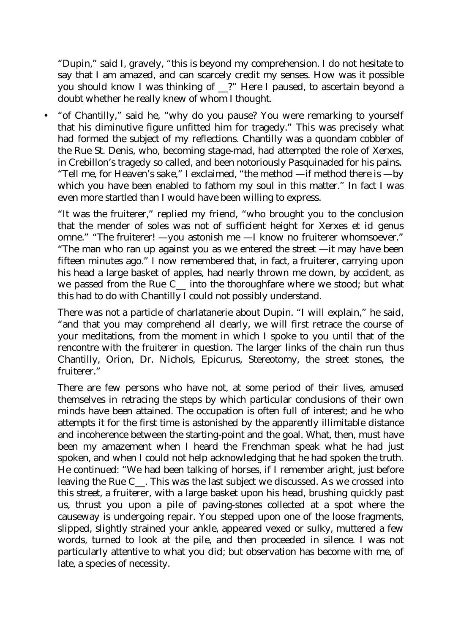"Dupin," said I, gravely, "this is beyond my comprehension. I do not hesitate to say that I am amazed, and can scarcely credit my senses. How was it possible you should know I was thinking of \_\_?" Here I paused, to ascertain beyond a doubt whether he really knew of whom I thought.

• "of Chantilly," said he, "why do you pause? You were remarking to yourself that his diminutive figure unfitted him for tragedy." This was precisely what had formed the subject of my reflections. Chantilly was a quondam cobbler of the Rue St. Denis, who, becoming stage-mad, had attempted the role of Xerxes, in Crebillon's tragedy so called, and been notoriously Pasquinaded for his pains. "Tell me, for Heaven's sake," I exclaimed, "the method —if method there is —by which you have been enabled to fathom my soul in this matter." In fact I was even more startled than I would have been willing to express.

"It was the fruiterer," replied my friend, "who brought you to the conclusion that the mender of soles was not of sufficient height for Xerxes et id genus omne." "The fruiterer! —you astonish me —I know no fruiterer whomsoever." "The man who ran up against you as we entered the street —it may have been fifteen minutes ago." I now remembered that, in fact, a fruiterer, carrying upon his head a large basket of apples, had nearly thrown me down, by accident, as we passed from the Rue C\_\_ into the thoroughfare where we stood; but what this had to do with Chantilly I could not possibly understand.

There was not a particle of charlatanerie about Dupin. "I will explain," he said, "and that you may comprehend all clearly, we will first retrace the course of your meditations, from the moment in which I spoke to you until that of the rencontre with the fruiterer in question. The larger links of the chain run thus Chantilly, Orion, Dr. Nichols, Epicurus, Stereotomy, the street stones, the fruiterer."

There are few persons who have not, at some period of their lives, amused themselves in retracing the steps by which particular conclusions of their own minds have been attained. The occupation is often full of interest; and he who attempts it for the first time is astonished by the apparently illimitable distance and incoherence between the starting-point and the goal. What, then, must have been my amazement when I heard the Frenchman speak what he had just spoken, and when I could not help acknowledging that he had spoken the truth. He continued: "We had been talking of horses, if I remember aright, just before leaving the Rue C\_\_. This was the last subject we discussed. As we crossed into this street, a fruiterer, with a large basket upon his head, brushing quickly past us, thrust you upon a pile of paving-stones collected at a spot where the causeway is undergoing repair. You stepped upon one of the loose fragments, slipped, slightly strained your ankle, appeared vexed or sulky, muttered a few words, turned to look at the pile, and then proceeded in silence. I was not particularly attentive to what you did; but observation has become with me, of late, a species of necessity.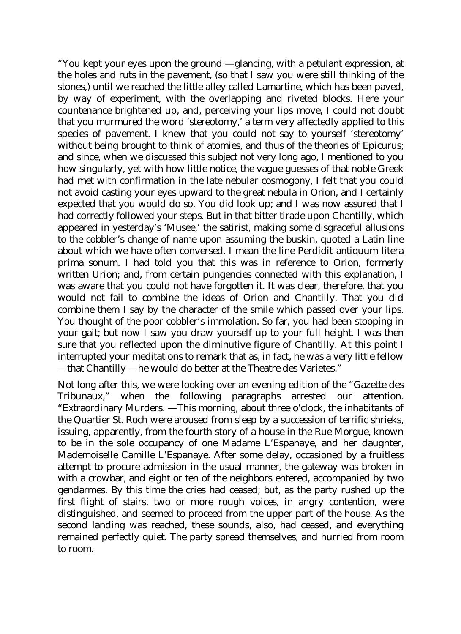"You kept your eyes upon the ground —glancing, with a petulant expression, at the holes and ruts in the pavement, (so that I saw you were still thinking of the stones,) until we reached the little alley called Lamartine, which has been paved, by way of experiment, with the overlapping and riveted blocks. Here your countenance brightened up, and, perceiving your lips move, I could not doubt that you murmured the word 'stereotomy,' a term very affectedly applied to this species of pavement. I knew that you could not say to yourself 'stereotomy' without being brought to think of atomies, and thus of the theories of Epicurus; and since, when we discussed this subject not very long ago, I mentioned to you how singularly, yet with how little notice, the vague guesses of that noble Greek had met with confirmation in the late nebular cosmogony, I felt that you could not avoid casting your eyes upward to the great nebula in Orion, and I certainly expected that you would do so. You did look up; and I was now assured that I had correctly followed your steps. But in that bitter tirade upon Chantilly, which appeared in yesterday's 'Musee,' the satirist, making some disgraceful allusions to the cobbler's change of name upon assuming the buskin, quoted a Latin line about which we have often conversed. I mean the line Perdidit antiquum litera prima sonum. I had told you that this was in reference to Orion, formerly written Urion; and, from certain pungencies connected with this explanation, I was aware that you could not have forgotten it. It was clear, therefore, that you would not fail to combine the ideas of Orion and Chantilly. That you did combine them I say by the character of the smile which passed over your lips. You thought of the poor cobbler's immolation. So far, you had been stooping in your gait; but now I saw you draw yourself up to your full height. I was then sure that you reflected upon the diminutive figure of Chantilly. At this point I interrupted your meditations to remark that as, in fact, he was a very little fellow —that Chantilly —he would do better at the Theatre des Varietes."

Not long after this, we were looking over an evening edition of the "Gazette des Tribunaux," when the following paragraphs arrested our attention. "Extraordinary Murders. —This morning, about three o'clock, the inhabitants of the Quartier St. Roch were aroused from sleep by a succession of terrific shrieks, issuing, apparently, from the fourth story of a house in the Rue Morgue, known to be in the sole occupancy of one Madame L'Espanaye, and her daughter, Mademoiselle Camille L'Espanaye. After some delay, occasioned by a fruitless attempt to procure admission in the usual manner, the gateway was broken in with a crowbar, and eight or ten of the neighbors entered, accompanied by two gendarmes. By this time the cries had ceased; but, as the party rushed up the first flight of stairs, two or more rough voices, in angry contention, were distinguished, and seemed to proceed from the upper part of the house. As the second landing was reached, these sounds, also, had ceased, and everything remained perfectly quiet. The party spread themselves, and hurried from room to room.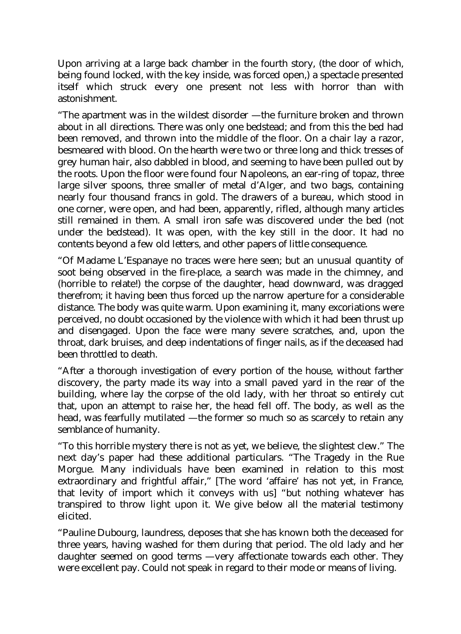Upon arriving at a large back chamber in the fourth story, (the door of which, being found locked, with the key inside, was forced open,) a spectacle presented itself which struck every one present not less with horror than with astonishment.

"The apartment was in the wildest disorder —the furniture broken and thrown about in all directions. There was only one bedstead; and from this the bed had been removed, and thrown into the middle of the floor. On a chair lay a razor, besmeared with blood. On the hearth were two or three long and thick tresses of grey human hair, also dabbled in blood, and seeming to have been pulled out by the roots. Upon the floor were found four Napoleons, an ear-ring of topaz, three large silver spoons, three smaller of metal d'Alger, and two bags, containing nearly four thousand francs in gold. The drawers of a bureau, which stood in one corner, were open, and had been, apparently, rifled, although many articles still remained in them. A small iron safe was discovered under the bed (not under the bedstead). It was open, with the key still in the door. It had no contents beyond a few old letters, and other papers of little consequence.

"Of Madame L'Espanaye no traces were here seen; but an unusual quantity of soot being observed in the fire-place, a search was made in the chimney, and (horrible to relate!) the corpse of the daughter, head downward, was dragged therefrom; it having been thus forced up the narrow aperture for a considerable distance. The body was quite warm. Upon examining it, many excoriations were perceived, no doubt occasioned by the violence with which it had been thrust up and disengaged. Upon the face were many severe scratches, and, upon the throat, dark bruises, and deep indentations of finger nails, as if the deceased had been throttled to death.

"After a thorough investigation of every portion of the house, without farther discovery, the party made its way into a small paved yard in the rear of the building, where lay the corpse of the old lady, with her throat so entirely cut that, upon an attempt to raise her, the head fell off. The body, as well as the head, was fearfully mutilated —the former so much so as scarcely to retain any semblance of humanity.

"To this horrible mystery there is not as yet, we believe, the slightest clew." The next day's paper had these additional particulars. "The Tragedy in the Rue Morgue. Many individuals have been examined in relation to this most extraordinary and frightful affair," [The word 'affaire' has not yet, in France, that levity of import which it conveys with us] "but nothing whatever has transpired to throw light upon it. We give below all the material testimony elicited.

"Pauline Dubourg, laundress, deposes that she has known both the deceased for three years, having washed for them during that period. The old lady and her daughter seemed on good terms —very affectionate towards each other. They were excellent pay. Could not speak in regard to their mode or means of living.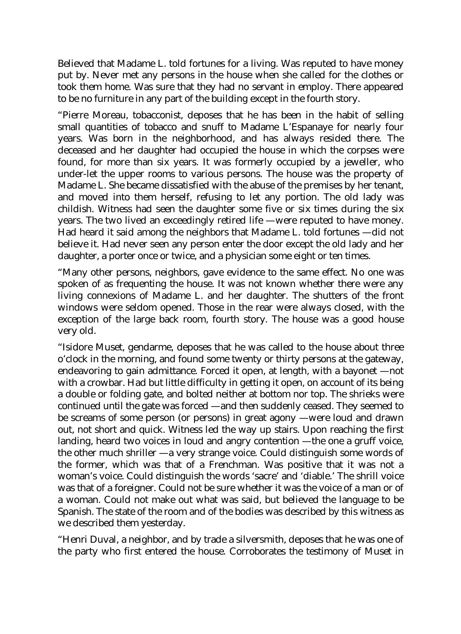Believed that Madame L. told fortunes for a living. Was reputed to have money put by. Never met any persons in the house when she called for the clothes or took them home. Was sure that they had no servant in employ. There appeared to be no furniture in any part of the building except in the fourth story.

"Pierre Moreau, tobacconist, deposes that he has been in the habit of selling small quantities of tobacco and snuff to Madame L'Espanaye for nearly four years. Was born in the neighborhood, and has always resided there. The deceased and her daughter had occupied the house in which the corpses were found, for more than six years. It was formerly occupied by a jeweller, who under-let the upper rooms to various persons. The house was the property of Madame L. She became dissatisfied with the abuse of the premises by her tenant, and moved into them herself, refusing to let any portion. The old lady was childish. Witness had seen the daughter some five or six times during the six years. The two lived an exceedingly retired life —were reputed to have money. Had heard it said among the neighbors that Madame L. told fortunes —did not believe it. Had never seen any person enter the door except the old lady and her daughter, a porter once or twice, and a physician some eight or ten times.

"Many other persons, neighbors, gave evidence to the same effect. No one was spoken of as frequenting the house. It was not known whether there were any living connexions of Madame L. and her daughter. The shutters of the front windows were seldom opened. Those in the rear were always closed, with the exception of the large back room, fourth story. The house was a good house very old.

"Isidore Muset, gendarme, deposes that he was called to the house about three o'clock in the morning, and found some twenty or thirty persons at the gateway, endeavoring to gain admittance. Forced it open, at length, with a bayonet —not with a crowbar. Had but little difficulty in getting it open, on account of its being a double or folding gate, and bolted neither at bottom nor top. The shrieks were continued until the gate was forced —and then suddenly ceased. They seemed to be screams of some person (or persons) in great agony —were loud and drawn out, not short and quick. Witness led the way up stairs. Upon reaching the first landing, heard two voices in loud and angry contention —the one a gruff voice, the other much shriller —a very strange voice. Could distinguish some words of the former, which was that of a Frenchman. Was positive that it was not a woman's voice. Could distinguish the words 'sacre' and 'diable.' The shrill voice was that of a foreigner. Could not be sure whether it was the voice of a man or of a woman. Could not make out what was said, but believed the language to be Spanish. The state of the room and of the bodies was described by this witness as we described them yesterday.

"Henri Duval, a neighbor, and by trade a silversmith, deposes that he was one of the party who first entered the house. Corroborates the testimony of Muset in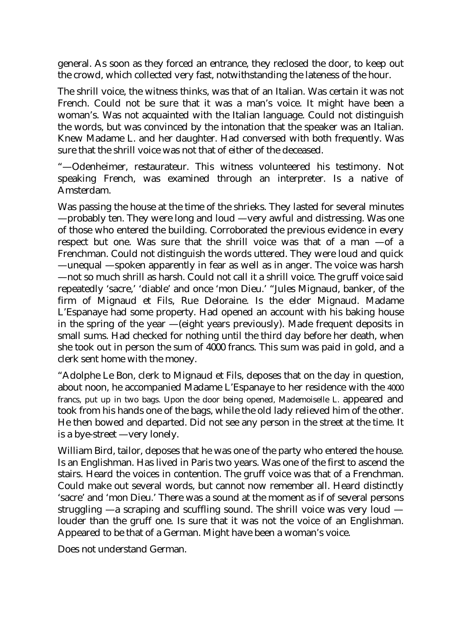general. As soon as they forced an entrance, they reclosed the door, to keep out the crowd, which collected very fast, notwithstanding the lateness of the hour.

The shrill voice, the witness thinks, was that of an Italian. Was certain it was not French. Could not be sure that it was a man's voice. It might have been a woman's. Was not acquainted with the Italian language. Could not distinguish the words, but was convinced by the intonation that the speaker was an Italian. Knew Madame L. and her daughter. Had conversed with both frequently. Was sure that the shrill voice was not that of either of the deceased.

"—Odenheimer, restaurateur. This witness volunteered his testimony. Not speaking French, was examined through an interpreter. Is a native of Amsterdam.

Was passing the house at the time of the shrieks. They lasted for several minutes —probably ten. They were long and loud —very awful and distressing. Was one of those who entered the building. Corroborated the previous evidence in every respect but one. Was sure that the shrill voice was that of a man —of a Frenchman. Could not distinguish the words uttered. They were loud and quick —unequal —spoken apparently in fear as well as in anger. The voice was harsh —not so much shrill as harsh. Could not call it a shrill voice. The gruff voice said repeatedly 'sacre,' 'diable' and once 'mon Dieu.' "Jules Mignaud, banker, of the firm of Mignaud et Fils, Rue Deloraine. Is the elder Mignaud. Madame L'Espanaye had some property. Had opened an account with his baking house in the spring of the year —(eight years previously). Made frequent deposits in small sums. Had checked for nothing until the third day before her death, when she took out in person the sum of 4000 francs. This sum was paid in gold, and a clerk sent home with the money.

"Adolphe Le Bon, clerk to Mignaud et Fils, deposes that on the day in question, about noon, he accompanied Madame L'Espanaye to her residence with the 4000 francs, put up in two bags. Upon the door being opened, Mademoiselle L. appeared and took from his hands one of the bags, while the old lady relieved him of the other. He then bowed and departed. Did not see any person in the street at the time. It is a bye-street —very lonely.

William Bird, tailor, deposes that he was one of the party who entered the house. Is an Englishman. Has lived in Paris two years. Was one of the first to ascend the stairs. Heard the voices in contention. The gruff voice was that of a Frenchman. Could make out several words, but cannot now remember all. Heard distinctly 'sacre' and 'mon Dieu.' There was a sound at the moment as if of several persons struggling —a scraping and scuffling sound. The shrill voice was very loud louder than the gruff one. Is sure that it was not the voice of an Englishman. Appeared to be that of a German. Might have been a woman's voice.

Does not understand German.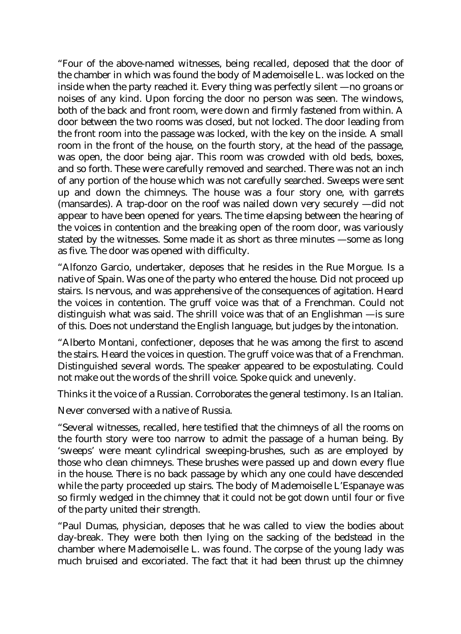"Four of the above-named witnesses, being recalled, deposed that the door of the chamber in which was found the body of Mademoiselle L. was locked on the inside when the party reached it. Every thing was perfectly silent —no groans or noises of any kind. Upon forcing the door no person was seen. The windows, both of the back and front room, were down and firmly fastened from within. A door between the two rooms was closed, but not locked. The door leading from the front room into the passage was locked, with the key on the inside. A small room in the front of the house, on the fourth story, at the head of the passage, was open, the door being ajar. This room was crowded with old beds, boxes, and so forth. These were carefully removed and searched. There was not an inch of any portion of the house which was not carefully searched. Sweeps were sent up and down the chimneys. The house was a four story one, with garrets (mansardes). A trap-door on the roof was nailed down very securely —did not appear to have been opened for years. The time elapsing between the hearing of the voices in contention and the breaking open of the room door, was variously stated by the witnesses. Some made it as short as three minutes —some as long as five. The door was opened with difficulty.

"Alfonzo Garcio, undertaker, deposes that he resides in the Rue Morgue. Is a native of Spain. Was one of the party who entered the house. Did not proceed up stairs. Is nervous, and was apprehensive of the consequences of agitation. Heard the voices in contention. The gruff voice was that of a Frenchman. Could not distinguish what was said. The shrill voice was that of an Englishman —is sure of this. Does not understand the English language, but judges by the intonation.

"Alberto Montani, confectioner, deposes that he was among the first to ascend the stairs. Heard the voices in question. The gruff voice was that of a Frenchman. Distinguished several words. The speaker appeared to be expostulating. Could not make out the words of the shrill voice. Spoke quick and unevenly.

Thinks it the voice of a Russian. Corroborates the general testimony. Is an Italian.

Never conversed with a native of Russia.

"Several witnesses, recalled, here testified that the chimneys of all the rooms on the fourth story were too narrow to admit the passage of a human being. By 'sweeps' were meant cylindrical sweeping-brushes, such as are employed by those who clean chimneys. These brushes were passed up and down every flue in the house. There is no back passage by which any one could have descended while the party proceeded up stairs. The body of Mademoiselle L'Espanaye was so firmly wedged in the chimney that it could not be got down until four or five of the party united their strength.

"Paul Dumas, physician, deposes that he was called to view the bodies about day-break. They were both then lying on the sacking of the bedstead in the chamber where Mademoiselle L. was found. The corpse of the young lady was much bruised and excoriated. The fact that it had been thrust up the chimney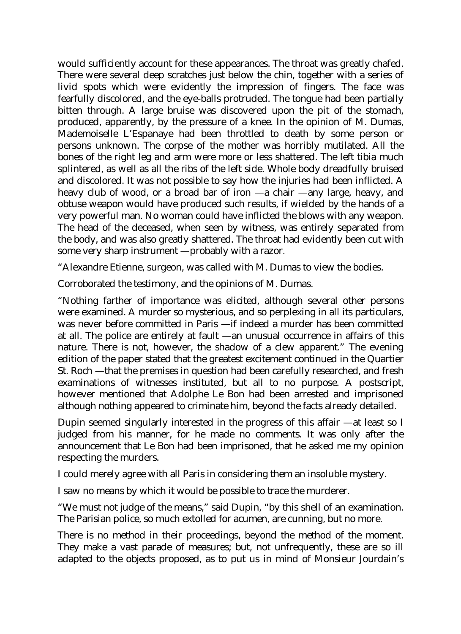would sufficiently account for these appearances. The throat was greatly chafed. There were several deep scratches just below the chin, together with a series of livid spots which were evidently the impression of fingers. The face was fearfully discolored, and the eye-balls protruded. The tongue had been partially bitten through. A large bruise was discovered upon the pit of the stomach, produced, apparently, by the pressure of a knee. In the opinion of M. Dumas, Mademoiselle L'Espanaye had been throttled to death by some person or persons unknown. The corpse of the mother was horribly mutilated. All the bones of the right leg and arm were more or less shattered. The left tibia much splintered, as well as all the ribs of the left side. Whole body dreadfully bruised and discolored. It was not possible to say how the injuries had been inflicted. A heavy club of wood, or a broad bar of iron —a chair —any large, heavy, and obtuse weapon would have produced such results, if wielded by the hands of a very powerful man. No woman could have inflicted the blows with any weapon. The head of the deceased, when seen by witness, was entirely separated from the body, and was also greatly shattered. The throat had evidently been cut with some very sharp instrument —probably with a razor.

"Alexandre Etienne, surgeon, was called with M. Dumas to view the bodies.

Corroborated the testimony, and the opinions of M. Dumas.

"Nothing farther of importance was elicited, although several other persons were examined. A murder so mysterious, and so perplexing in all its particulars, was never before committed in Paris —if indeed a murder has been committed at all. The police are entirely at fault —an unusual occurrence in affairs of this nature. There is not, however, the shadow of a clew apparent." The evening edition of the paper stated that the greatest excitement continued in the Quartier St. Roch —that the premises in question had been carefully researched, and fresh examinations of witnesses instituted, but all to no purpose. A postscript, however mentioned that Adolphe Le Bon had been arrested and imprisoned although nothing appeared to criminate him, beyond the facts already detailed.

Dupin seemed singularly interested in the progress of this affair —at least so I judged from his manner, for he made no comments. It was only after the announcement that Le Bon had been imprisoned, that he asked me my opinion respecting the murders.

I could merely agree with all Paris in considering them an insoluble mystery.

I saw no means by which it would be possible to trace the murderer.

"We must not judge of the means," said Dupin, "by this shell of an examination. The Parisian police, so much extolled for acumen, are cunning, but no more.

There is no method in their proceedings, beyond the method of the moment. They make a vast parade of measures; but, not unfrequently, these are so ill adapted to the objects proposed, as to put us in mind of Monsieur Jourdain's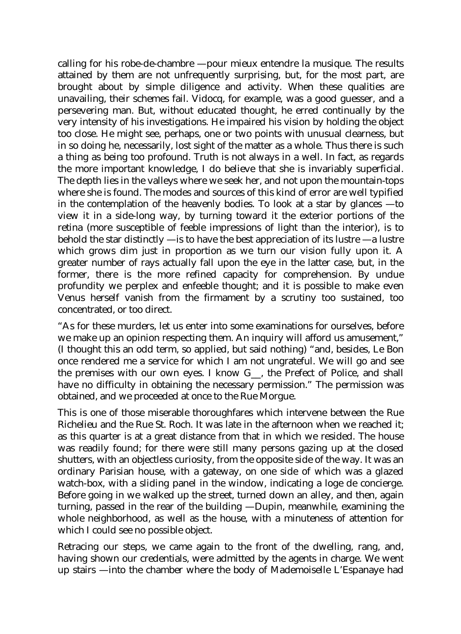calling for his robe-de-chambre —pour mieux entendre la musique. The results attained by them are not unfrequently surprising, but, for the most part, are brought about by simple diligence and activity. When these qualities are unavailing, their schemes fail. Vidocq, for example, was a good guesser, and a persevering man. But, without educated thought, he erred continually by the very intensity of his investigations. He impaired his vision by holding the object too close. He might see, perhaps, one or two points with unusual clearness, but in so doing he, necessarily, lost sight of the matter as a whole. Thus there is such a thing as being too profound. Truth is not always in a well. In fact, as regards the more important knowledge, I do believe that she is invariably superficial. The depth lies in the valleys where we seek her, and not upon the mountain-tops where she is found. The modes and sources of this kind of error are well typified in the contemplation of the heavenly bodies. To look at a star by glances —to view it in a side-long way, by turning toward it the exterior portions of the retina (more susceptible of feeble impressions of light than the interior), is to behold the star distinctly —is to have the best appreciation of its lustre —a lustre which grows dim just in proportion as we turn our vision fully upon it. A greater number of rays actually fall upon the eye in the latter case, but, in the former, there is the more refined capacity for comprehension. By undue profundity we perplex and enfeeble thought; and it is possible to make even Venus herself vanish from the firmament by a scrutiny too sustained, too concentrated, or too direct.

"As for these murders, let us enter into some examinations for ourselves, before we make up an opinion respecting them. An inquiry will afford us amusement," (I thought this an odd term, so applied, but said nothing) "and, besides, Le Bon once rendered me a service for which I am not ungrateful. We will go and see the premises with our own eyes. I know G\_\_, the Prefect of Police, and shall have no difficulty in obtaining the necessary permission." The permission was obtained, and we proceeded at once to the Rue Morgue.

This is one of those miserable thoroughfares which intervene between the Rue Richelieu and the Rue St. Roch. It was late in the afternoon when we reached it; as this quarter is at a great distance from that in which we resided. The house was readily found; for there were still many persons gazing up at the closed shutters, with an objectless curiosity, from the opposite side of the way. It was an ordinary Parisian house, with a gateway, on one side of which was a glazed watch-box, with a sliding panel in the window, indicating a loge de concierge. Before going in we walked up the street, turned down an alley, and then, again turning, passed in the rear of the building —Dupin, meanwhile, examining the whole neighborhood, as well as the house, with a minuteness of attention for which I could see no possible object.

Retracing our steps, we came again to the front of the dwelling, rang, and, having shown our credentials, were admitted by the agents in charge. We went up stairs —into the chamber where the body of Mademoiselle L'Espanaye had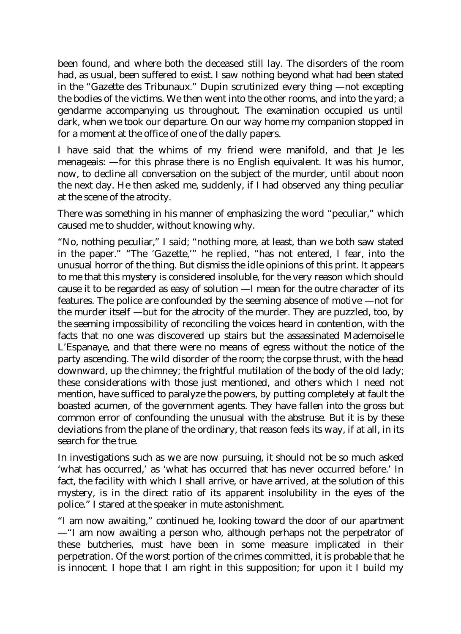been found, and where both the deceased still lay. The disorders of the room had, as usual, been suffered to exist. I saw nothing beyond what had been stated in the "Gazette des Tribunaux." Dupin scrutinized every thing —not excepting the bodies of the victims. We then went into the other rooms, and into the yard; a gendarme accompanying us throughout. The examination occupied us until dark, when we took our departure. On our way home my companion stopped in for a moment at the office of one of the dally papers.

I have said that the whims of my friend were manifold, and that Je les menageais: —for this phrase there is no English equivalent. It was his humor, now, to decline all conversation on the subject of the murder, until about noon the next day. He then asked me, suddenly, if I had observed any thing peculiar at the scene of the atrocity.

There was something in his manner of emphasizing the word "peculiar," which caused me to shudder, without knowing why.

"No, nothing peculiar," I said; "nothing more, at least, than we both saw stated in the paper." "The 'Gazette,'" he replied, "has not entered, I fear, into the unusual horror of the thing. But dismiss the idle opinions of this print. It appears to me that this mystery is considered insoluble, for the very reason which should cause it to be regarded as easy of solution —I mean for the outre character of its features. The police are confounded by the seeming absence of motive —not for the murder itself —but for the atrocity of the murder. They are puzzled, too, by the seeming impossibility of reconciling the voices heard in contention, with the facts that no one was discovered up stairs but the assassinated Mademoiselle L'Espanaye, and that there were no means of egress without the notice of the party ascending. The wild disorder of the room; the corpse thrust, with the head downward, up the chimney; the frightful mutilation of the body of the old lady; these considerations with those just mentioned, and others which I need not mention, have sufficed to paralyze the powers, by putting completely at fault the boasted acumen, of the government agents. They have fallen into the gross but common error of confounding the unusual with the abstruse. But it is by these deviations from the plane of the ordinary, that reason feels its way, if at all, in its search for the true.

In investigations such as we are now pursuing, it should not be so much asked 'what has occurred,' as 'what has occurred that has never occurred before.' In fact, the facility with which I shall arrive, or have arrived, at the solution of this mystery, is in the direct ratio of its apparent insolubility in the eyes of the police." I stared at the speaker in mute astonishment.

"I am now awaiting," continued he, looking toward the door of our apartment —"I am now awaiting a person who, although perhaps not the perpetrator of these butcheries, must have been in some measure implicated in their perpetration. Of the worst portion of the crimes committed, it is probable that he is innocent. I hope that I am right in this supposition; for upon it I build my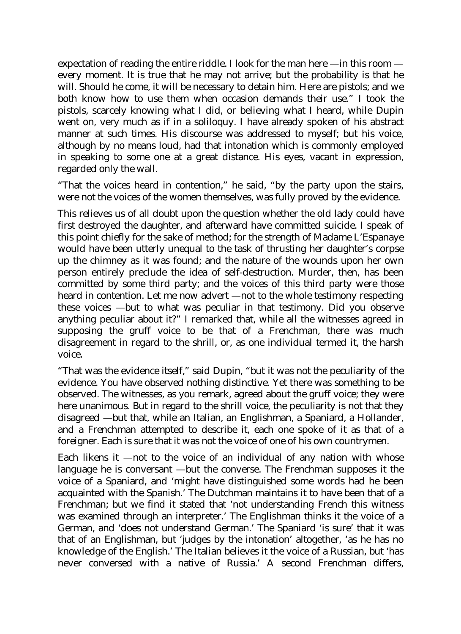expectation of reading the entire riddle. I look for the man here —in this room every moment. It is true that he may not arrive; but the probability is that he will. Should he come, it will be necessary to detain him. Here are pistols; and we both know how to use them when occasion demands their use." I took the pistols, scarcely knowing what I did, or believing what I heard, while Dupin went on, very much as if in a soliloquy. I have already spoken of his abstract manner at such times. His discourse was addressed to myself; but his voice, although by no means loud, had that intonation which is commonly employed in speaking to some one at a great distance. His eyes, vacant in expression, regarded only the wall.

"That the voices heard in contention," he said, "by the party upon the stairs, were not the voices of the women themselves, was fully proved by the evidence.

This relieves us of all doubt upon the question whether the old lady could have first destroyed the daughter, and afterward have committed suicide. I speak of this point chiefly for the sake of method; for the strength of Madame L'Espanaye would have been utterly unequal to the task of thrusting her daughter's corpse up the chimney as it was found; and the nature of the wounds upon her own person entirely preclude the idea of self-destruction. Murder, then, has been committed by some third party; and the voices of this third party were those heard in contention. Let me now advert —not to the whole testimony respecting these voices —but to what was peculiar in that testimony. Did you observe anything peculiar about it?" I remarked that, while all the witnesses agreed in supposing the gruff voice to be that of a Frenchman, there was much disagreement in regard to the shrill, or, as one individual termed it, the harsh voice.

"That was the evidence itself," said Dupin, "but it was not the peculiarity of the evidence. You have observed nothing distinctive. Yet there was something to be observed. The witnesses, as you remark, agreed about the gruff voice; they were here unanimous. But in regard to the shrill voice, the peculiarity is not that they disagreed —but that, while an Italian, an Englishman, a Spaniard, a Hollander, and a Frenchman attempted to describe it, each one spoke of it as that of a foreigner. Each is sure that it was not the voice of one of his own countrymen.

Each likens it —not to the voice of an individual of any nation with whose language he is conversant —but the converse. The Frenchman supposes it the voice of a Spaniard, and 'might have distinguished some words had he been acquainted with the Spanish.' The Dutchman maintains it to have been that of a Frenchman; but we find it stated that 'not understanding French this witness was examined through an interpreter.' The Englishman thinks it the voice of a German, and 'does not understand German.' The Spaniard 'is sure' that it was that of an Englishman, but 'judges by the intonation' altogether, 'as he has no knowledge of the English.' The Italian believes it the voice of a Russian, but 'has never conversed with a native of Russia.' A second Frenchman differs,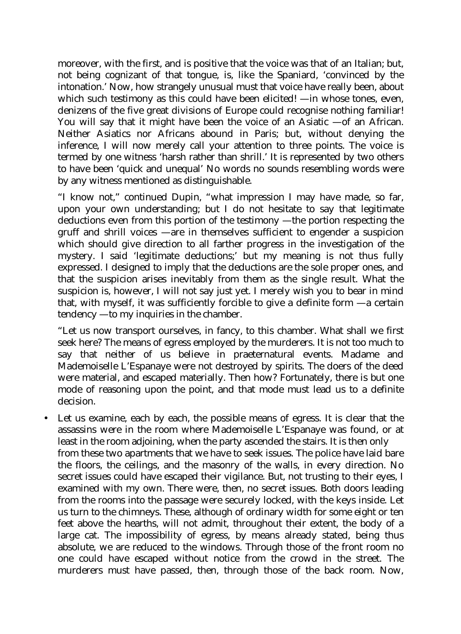moreover, with the first, and is positive that the voice was that of an Italian; but, not being cognizant of that tongue, is, like the Spaniard, 'convinced by the intonation.' Now, how strangely unusual must that voice have really been, about which such testimony as this could have been elicited! —in whose tones, even, denizens of the five great divisions of Europe could recognise nothing familiar! You will say that it might have been the voice of an Asiatic —of an African. Neither Asiatics nor Africans abound in Paris; but, without denying the inference, I will now merely call your attention to three points. The voice is termed by one witness 'harsh rather than shrill.' It is represented by two others to have been 'quick and unequal' No words no sounds resembling words were by any witness mentioned as distinguishable.

"I know not," continued Dupin, "what impression I may have made, so far, upon your own understanding; but I do not hesitate to say that legitimate deductions even from this portion of the testimony —the portion respecting the gruff and shrill voices —are in themselves sufficient to engender a suspicion which should give direction to all farther progress in the investigation of the mystery. I said 'legitimate deductions;' but my meaning is not thus fully expressed. I designed to imply that the deductions are the sole proper ones, and that the suspicion arises inevitably from them as the single result. What the suspicion is, however, I will not say just yet. I merely wish you to bear in mind that, with myself, it was sufficiently forcible to give a definite form —a certain tendency —to my inquiries in the chamber.

"Let us now transport ourselves, in fancy, to this chamber. What shall we first seek here? The means of egress employed by the murderers. It is not too much to say that neither of us believe in praeternatural events. Madame and Mademoiselle L'Espanaye were not destroyed by spirits. The doers of the deed were material, and escaped materially. Then how? Fortunately, there is but one mode of reasoning upon the point, and that mode must lead us to a definite decision.

• Let us examine, each by each, the possible means of egress. It is clear that the assassins were in the room where Mademoiselle L'Espanaye was found, or at least in the room adjoining, when the party ascended the stairs. It is then only from these two apartments that we have to seek issues. The police have laid bare the floors, the ceilings, and the masonry of the walls, in every direction. No secret issues could have escaped their vigilance. But, not trusting to their eyes, I examined with my own. There were, then, no secret issues. Both doors leading from the rooms into the passage were securely locked, with the keys inside. Let us turn to the chimneys. These, although of ordinary width for some eight or ten feet above the hearths, will not admit, throughout their extent, the body of a large cat. The impossibility of egress, by means already stated, being thus absolute, we are reduced to the windows. Through those of the front room no one could have escaped without notice from the crowd in the street. The murderers must have passed, then, through those of the back room. Now,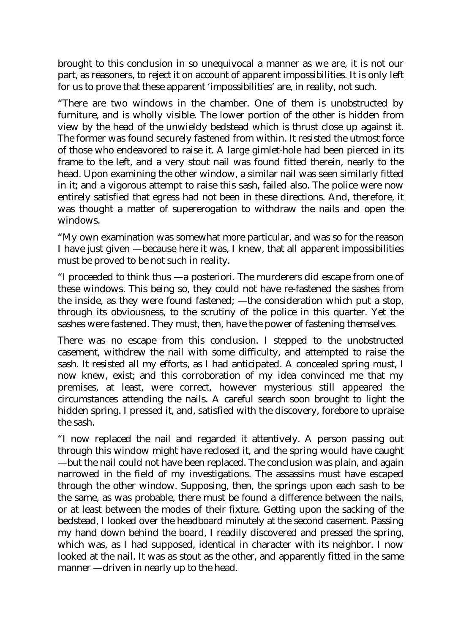brought to this conclusion in so unequivocal a manner as we are, it is not our part, as reasoners, to reject it on account of apparent impossibilities. It is only left for us to prove that these apparent 'impossibilities' are, in reality, not such.

"There are two windows in the chamber. One of them is unobstructed by furniture, and is wholly visible. The lower portion of the other is hidden from view by the head of the unwieldy bedstead which is thrust close up against it. The former was found securely fastened from within. It resisted the utmost force of those who endeavored to raise it. A large gimlet-hole had been pierced in its frame to the left, and a very stout nail was found fitted therein, nearly to the head. Upon examining the other window, a similar nail was seen similarly fitted in it; and a vigorous attempt to raise this sash, failed also. The police were now entirely satisfied that egress had not been in these directions. And, therefore, it was thought a matter of supererogation to withdraw the nails and open the windows.

"My own examination was somewhat more particular, and was so for the reason I have just given —because here it was, I knew, that all apparent impossibilities must be proved to be not such in reality.

"I proceeded to think thus —a posteriori. The murderers did escape from one of these windows. This being so, they could not have re-fastened the sashes from the inside, as they were found fastened; —the consideration which put a stop, through its obviousness, to the scrutiny of the police in this quarter. Yet the sashes were fastened. They must, then, have the power of fastening themselves.

There was no escape from this conclusion. I stepped to the unobstructed casement, withdrew the nail with some difficulty, and attempted to raise the sash. It resisted all my efforts, as I had anticipated. A concealed spring must, I now knew, exist; and this corroboration of my idea convinced me that my premises, at least, were correct, however mysterious still appeared the circumstances attending the nails. A careful search soon brought to light the hidden spring. I pressed it, and, satisfied with the discovery, forebore to upraise the sash.

"I now replaced the nail and regarded it attentively. A person passing out through this window might have reclosed it, and the spring would have caught —but the nail could not have been replaced. The conclusion was plain, and again narrowed in the field of my investigations. The assassins must have escaped through the other window. Supposing, then, the springs upon each sash to be the same, as was probable, there must be found a difference between the nails, or at least between the modes of their fixture. Getting upon the sacking of the bedstead, I looked over the headboard minutely at the second casement. Passing my hand down behind the board, I readily discovered and pressed the spring, which was, as I had supposed, identical in character with its neighbor. I now looked at the nail. It was as stout as the other, and apparently fitted in the same manner —driven in nearly up to the head.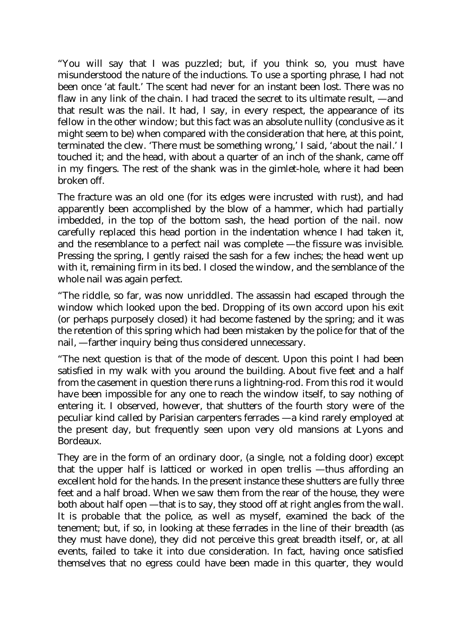"You will say that I was puzzled; but, if you think so, you must have misunderstood the nature of the inductions. To use a sporting phrase, I had not been once 'at fault.' The scent had never for an instant been lost. There was no flaw in any link of the chain. I had traced the secret to its ultimate result, —and that result was the nail. It had, I say, in every respect, the appearance of its fellow in the other window; but this fact was an absolute nullity (conclusive as it might seem to be) when compared with the consideration that here, at this point, terminated the clew. 'There must be something wrong,' I said, 'about the nail.' I touched it; and the head, with about a quarter of an inch of the shank, came off in my fingers. The rest of the shank was in the gimlet-hole, where it had been broken off.

The fracture was an old one (for its edges were incrusted with rust), and had apparently been accomplished by the blow of a hammer, which had partially imbedded, in the top of the bottom sash, the head portion of the nail. now carefully replaced this head portion in the indentation whence I had taken it, and the resemblance to a perfect nail was complete —the fissure was invisible. Pressing the spring, I gently raised the sash for a few inches; the head went up with it, remaining firm in its bed. I closed the window, and the semblance of the whole nail was again perfect.

"The riddle, so far, was now unriddled. The assassin had escaped through the window which looked upon the bed. Dropping of its own accord upon his exit (or perhaps purposely closed) it had become fastened by the spring; and it was the retention of this spring which had been mistaken by the police for that of the nail, —farther inquiry being thus considered unnecessary.

"The next question is that of the mode of descent. Upon this point I had been satisfied in my walk with you around the building. About five feet and a half from the casement in question there runs a lightning-rod. From this rod it would have been impossible for any one to reach the window itself, to say nothing of entering it. I observed, however, that shutters of the fourth story were of the peculiar kind called by Parisian carpenters ferrades —a kind rarely employed at the present day, but frequently seen upon very old mansions at Lyons and Bordeaux.

They are in the form of an ordinary door, (a single, not a folding door) except that the upper half is latticed or worked in open trellis —thus affording an excellent hold for the hands. In the present instance these shutters are fully three feet and a half broad. When we saw them from the rear of the house, they were both about half open —that is to say, they stood off at right angles from the wall. It is probable that the police, as well as myself, examined the back of the tenement; but, if so, in looking at these ferrades in the line of their breadth (as they must have done), they did not perceive this great breadth itself, or, at all events, failed to take it into due consideration. In fact, having once satisfied themselves that no egress could have been made in this quarter, they would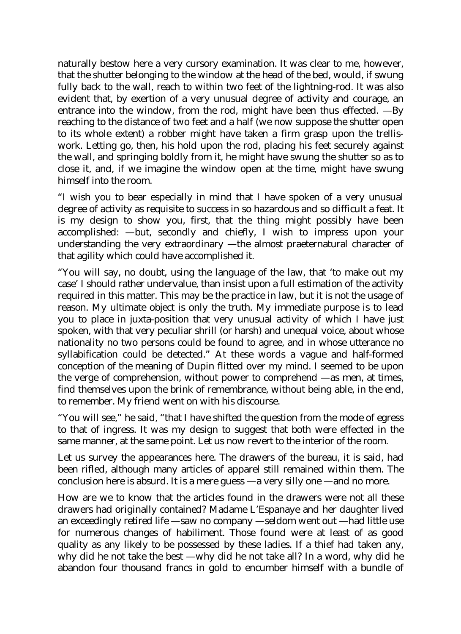naturally bestow here a very cursory examination. It was clear to me, however, that the shutter belonging to the window at the head of the bed, would, if swung fully back to the wall, reach to within two feet of the lightning-rod. It was also evident that, by exertion of a very unusual degree of activity and courage, an entrance into the window, from the rod, might have been thus effected. —By reaching to the distance of two feet and a half (we now suppose the shutter open to its whole extent) a robber might have taken a firm grasp upon the trelliswork. Letting go, then, his hold upon the rod, placing his feet securely against the wall, and springing boldly from it, he might have swung the shutter so as to close it, and, if we imagine the window open at the time, might have swung himself into the room.

"I wish you to bear especially in mind that I have spoken of a very unusual degree of activity as requisite to success in so hazardous and so difficult a feat. It is my design to show you, first, that the thing might possibly have been accomplished: —but, secondly and chiefly, I wish to impress upon your understanding the very extraordinary —the almost praeternatural character of that agility which could have accomplished it.

"You will say, no doubt, using the language of the law, that 'to make out my case' I should rather undervalue, than insist upon a full estimation of the activity required in this matter. This may be the practice in law, but it is not the usage of reason. My ultimate object is only the truth. My immediate purpose is to lead you to place in juxta-position that very unusual activity of which I have just spoken, with that very peculiar shrill (or harsh) and unequal voice, about whose nationality no two persons could be found to agree, and in whose utterance no syllabification could be detected." At these words a vague and half-formed conception of the meaning of Dupin flitted over my mind. I seemed to be upon the verge of comprehension, without power to comprehend —as men, at times, find themselves upon the brink of remembrance, without being able, in the end, to remember. My friend went on with his discourse.

"You will see," he said, "that I have shifted the question from the mode of egress to that of ingress. It was my design to suggest that both were effected in the same manner, at the same point. Let us now revert to the interior of the room.

Let us survey the appearances here. The drawers of the bureau, it is said, had been rifled, although many articles of apparel still remained within them. The conclusion here is absurd. It is a mere guess —a very silly one —and no more.

How are we to know that the articles found in the drawers were not all these drawers had originally contained? Madame L'Espanaye and her daughter lived an exceedingly retired life —saw no company —seldom went out —had little use for numerous changes of habiliment. Those found were at least of as good quality as any likely to be possessed by these ladies. If a thief had taken any, why did he not take the best —why did he not take all? In a word, why did he abandon four thousand francs in gold to encumber himself with a bundle of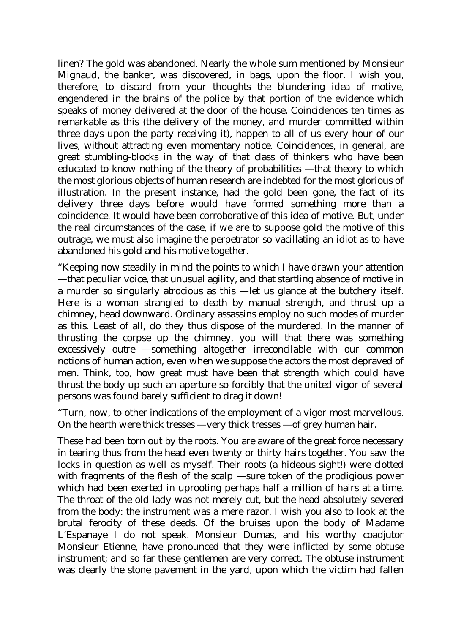linen? The gold was abandoned. Nearly the whole sum mentioned by Monsieur Mignaud, the banker, was discovered, in bags, upon the floor. I wish you, therefore, to discard from your thoughts the blundering idea of motive, engendered in the brains of the police by that portion of the evidence which speaks of money delivered at the door of the house. Coincidences ten times as remarkable as this (the delivery of the money, and murder committed within three days upon the party receiving it), happen to all of us every hour of our lives, without attracting even momentary notice. Coincidences, in general, are great stumbling-blocks in the way of that class of thinkers who have been educated to know nothing of the theory of probabilities —that theory to which the most glorious objects of human research are indebted for the most glorious of illustration. In the present instance, had the gold been gone, the fact of its delivery three days before would have formed something more than a coincidence. It would have been corroborative of this idea of motive. But, under the real circumstances of the case, if we are to suppose gold the motive of this outrage, we must also imagine the perpetrator so vacillating an idiot as to have abandoned his gold and his motive together.

"Keeping now steadily in mind the points to which I have drawn your attention —that peculiar voice, that unusual agility, and that startling absence of motive in a murder so singularly atrocious as this —let us glance at the butchery itself. Here is a woman strangled to death by manual strength, and thrust up a chimney, head downward. Ordinary assassins employ no such modes of murder as this. Least of all, do they thus dispose of the murdered. In the manner of thrusting the corpse up the chimney, you will that there was something excessively outre —something altogether irreconcilable with our common notions of human action, even when we suppose the actors the most depraved of men. Think, too, how great must have been that strength which could have thrust the body up such an aperture so forcibly that the united vigor of several persons was found barely sufficient to drag it down!

"Turn, now, to other indications of the employment of a vigor most marvellous. On the hearth were thick tresses —very thick tresses —of grey human hair.

These had been torn out by the roots. You are aware of the great force necessary in tearing thus from the head even twenty or thirty hairs together. You saw the locks in question as well as myself. Their roots (a hideous sight!) were clotted with fragments of the flesh of the scalp —sure token of the prodigious power which had been exerted in uprooting perhaps half a million of hairs at a time. The throat of the old lady was not merely cut, but the head absolutely severed from the body: the instrument was a mere razor. I wish you also to look at the brutal ferocity of these deeds. Of the bruises upon the body of Madame L'Espanaye I do not speak. Monsieur Dumas, and his worthy coadjutor Monsieur Etienne, have pronounced that they were inflicted by some obtuse instrument; and so far these gentlemen are very correct. The obtuse instrument was clearly the stone pavement in the yard, upon which the victim had fallen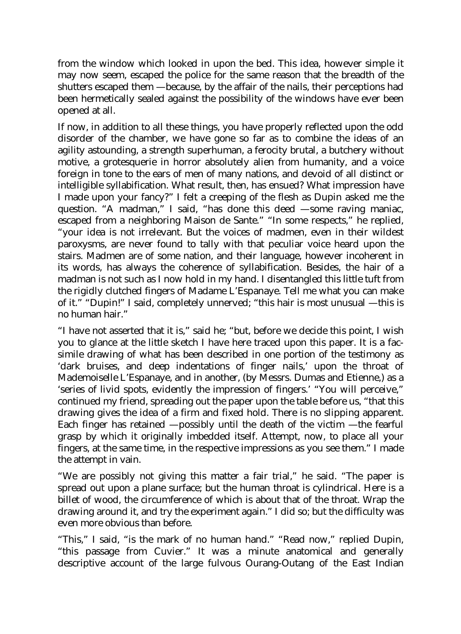from the window which looked in upon the bed. This idea, however simple it may now seem, escaped the police for the same reason that the breadth of the shutters escaped them —because, by the affair of the nails, their perceptions had been hermetically sealed against the possibility of the windows have ever been opened at all.

If now, in addition to all these things, you have properly reflected upon the odd disorder of the chamber, we have gone so far as to combine the ideas of an agility astounding, a strength superhuman, a ferocity brutal, a butchery without motive, a grotesquerie in horror absolutely alien from humanity, and a voice foreign in tone to the ears of men of many nations, and devoid of all distinct or intelligible syllabification. What result, then, has ensued? What impression have I made upon your fancy?" I felt a creeping of the flesh as Dupin asked me the question. "A madman," I said, "has done this deed —some raving maniac, escaped from a neighboring Maison de Sante." "In some respects," he replied, "your idea is not irrelevant. But the voices of madmen, even in their wildest paroxysms, are never found to tally with that peculiar voice heard upon the stairs. Madmen are of some nation, and their language, however incoherent in its words, has always the coherence of syllabification. Besides, the hair of a madman is not such as I now hold in my hand. I disentangled this little tuft from the rigidly clutched fingers of Madame L'Espanaye. Tell me what you can make of it." "Dupin!" I said, completely unnerved; "this hair is most unusual —this is no human hair."

"I have not asserted that it is," said he; "but, before we decide this point, I wish you to glance at the little sketch I have here traced upon this paper. It is a facsimile drawing of what has been described in one portion of the testimony as 'dark bruises, and deep indentations of finger nails,' upon the throat of Mademoiselle L'Espanaye, and in another, (by Messrs. Dumas and Etienne,) as a 'series of livid spots, evidently the impression of fingers.' "You will perceive," continued my friend, spreading out the paper upon the table before us, "that this drawing gives the idea of a firm and fixed hold. There is no slipping apparent. Each finger has retained —possibly until the death of the victim —the fearful grasp by which it originally imbedded itself. Attempt, now, to place all your fingers, at the same time, in the respective impressions as you see them." I made the attempt in vain.

"We are possibly not giving this matter a fair trial," he said. "The paper is spread out upon a plane surface; but the human throat is cylindrical. Here is a billet of wood, the circumference of which is about that of the throat. Wrap the drawing around it, and try the experiment again." I did so; but the difficulty was even more obvious than before.

"This," I said, "is the mark of no human hand." "Read now," replied Dupin, "this passage from Cuvier." It was a minute anatomical and generally descriptive account of the large fulvous Ourang-Outang of the East Indian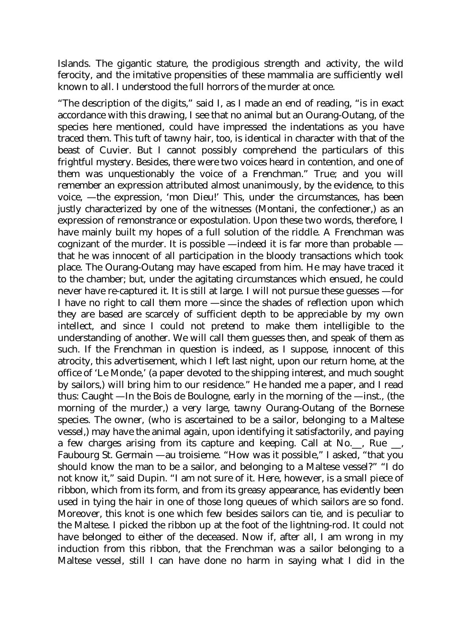Islands. The gigantic stature, the prodigious strength and activity, the wild ferocity, and the imitative propensities of these mammalia are sufficiently well known to all. I understood the full horrors of the murder at once.

"The description of the digits," said I, as I made an end of reading, "is in exact accordance with this drawing, I see that no animal but an Ourang-Outang, of the species here mentioned, could have impressed the indentations as you have traced them. This tuft of tawny hair, too, is identical in character with that of the beast of Cuvier. But I cannot possibly comprehend the particulars of this frightful mystery. Besides, there were two voices heard in contention, and one of them was unquestionably the voice of a Frenchman." True; and you will remember an expression attributed almost unanimously, by the evidence, to this voice, —the expression, 'mon Dieu!' This, under the circumstances, has been justly characterized by one of the witnesses (Montani, the confectioner,) as an expression of remonstrance or expostulation. Upon these two words, therefore, I have mainly built my hopes of a full solution of the riddle. A Frenchman was cognizant of the murder. It is possible —indeed it is far more than probable that he was innocent of all participation in the bloody transactions which took place. The Ourang-Outang may have escaped from him. He may have traced it to the chamber; but, under the agitating circumstances which ensued, he could never have re-captured it. It is still at large. I will not pursue these guesses —for I have no right to call them more —since the shades of reflection upon which they are based are scarcely of sufficient depth to be appreciable by my own intellect, and since I could not pretend to make them intelligible to the understanding of another. We will call them guesses then, and speak of them as such. If the Frenchman in question is indeed, as I suppose, innocent of this atrocity, this advertisement, which I left last night, upon our return home, at the office of 'Le Monde,' (a paper devoted to the shipping interest, and much sought by sailors,) will bring him to our residence." He handed me a paper, and I read thus: Caught —In the Bois de Boulogne, early in the morning of the —inst., (the morning of the murder,) a very large, tawny Ourang-Outang of the Bornese species. The owner, (who is ascertained to be a sailor, belonging to a Maltese vessel,) may have the animal again, upon identifying it satisfactorily, and paying a few charges arising from its capture and keeping. Call at No.\_\_, Rue \_\_, Faubourg St. Germain —au troisieme. "How was it possible," I asked, "that you should know the man to be a sailor, and belonging to a Maltese vessel?" "I do not know it," said Dupin. "I am not sure of it. Here, however, is a small piece of ribbon, which from its form, and from its greasy appearance, has evidently been used in tying the hair in one of those long queues of which sailors are so fond. Moreover, this knot is one which few besides sailors can tie, and is peculiar to the Maltese. I picked the ribbon up at the foot of the lightning-rod. It could not have belonged to either of the deceased. Now if, after all, I am wrong in my induction from this ribbon, that the Frenchman was a sailor belonging to a Maltese vessel, still I can have done no harm in saying what I did in the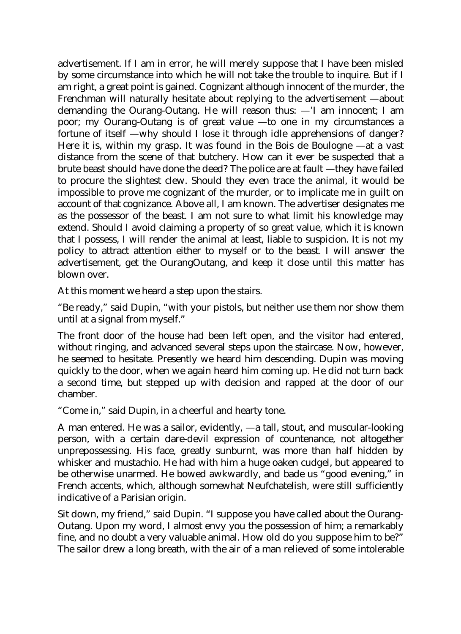advertisement. If I am in error, he will merely suppose that I have been misled by some circumstance into which he will not take the trouble to inquire. But if I am right, a great point is gained. Cognizant although innocent of the murder, the Frenchman will naturally hesitate about replying to the advertisement —about demanding the Ourang-Outang. He will reason thus: —'I am innocent; I am poor; my Ourang-Outang is of great value —to one in my circumstances a fortune of itself —why should I lose it through idle apprehensions of danger? Here it is, within my grasp. It was found in the Bois de Boulogne —at a vast distance from the scene of that butchery. How can it ever be suspected that a brute beast should have done the deed? The police are at fault —they have failed to procure the slightest clew. Should they even trace the animal, it would be impossible to prove me cognizant of the murder, or to implicate me in guilt on account of that cognizance. Above all, I am known. The advertiser designates me as the possessor of the beast. I am not sure to what limit his knowledge may extend. Should I avoid claiming a property of so great value, which it is known that I possess, I will render the animal at least, liable to suspicion. It is not my policy to attract attention either to myself or to the beast. I will answer the advertisement, get the OurangOutang, and keep it close until this matter has blown over.

At this moment we heard a step upon the stairs.

"Be ready," said Dupin, "with your pistols, but neither use them nor show them until at a signal from myself."

The front door of the house had been left open, and the visitor had entered, without ringing, and advanced several steps upon the staircase. Now, however, he seemed to hesitate. Presently we heard him descending. Dupin was moving quickly to the door, when we again heard him coming up. He did not turn back a second time, but stepped up with decision and rapped at the door of our chamber.

"Come in," said Dupin, in a cheerful and hearty tone.

A man entered. He was a sailor, evidently, —a tall, stout, and muscular-looking person, with a certain dare-devil expression of countenance, not altogether unprepossessing. His face, greatly sunburnt, was more than half hidden by whisker and mustachio. He had with him a huge oaken cudgel, but appeared to be otherwise unarmed. He bowed awkwardly, and bade us "good evening," in French accents, which, although somewhat Neufchatelish, were still sufficiently indicative of a Parisian origin.

Sit down, my friend," said Dupin. "I suppose you have called about the Ourang-Outang. Upon my word, I almost envy you the possession of him; a remarkably fine, and no doubt a very valuable animal. How old do you suppose him to be?" The sailor drew a long breath, with the air of a man relieved of some intolerable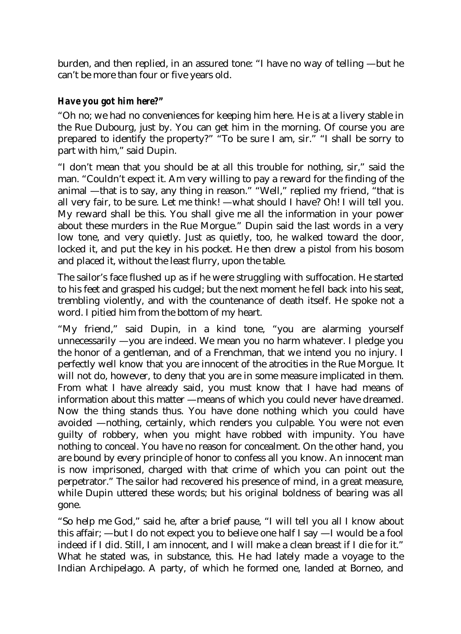burden, and then replied, in an assured tone: "I have no way of telling —but he can't be more than four or five years old.

# *Have you got him here?"*

"Oh no; we had no conveniences for keeping him here. He is at a livery stable in the Rue Dubourg, just by. You can get him in the morning. Of course you are prepared to identify the property?" "To be sure I am, sir." "I shall be sorry to part with him," said Dupin.

"I don't mean that you should be at all this trouble for nothing, sir," said the man. "Couldn't expect it. Am very willing to pay a reward for the finding of the animal —that is to say, any thing in reason." "Well," replied my friend, "that is all very fair, to be sure. Let me think! —what should I have? Oh! I will tell you. My reward shall be this. You shall give me all the information in your power about these murders in the Rue Morgue." Dupin said the last words in a very low tone, and very quietly. Just as quietly, too, he walked toward the door, locked it, and put the key in his pocket. He then drew a pistol from his bosom and placed it, without the least flurry, upon the table.

The sailor's face flushed up as if he were struggling with suffocation. He started to his feet and grasped his cudgel; but the next moment he fell back into his seat, trembling violently, and with the countenance of death itself. He spoke not a word. I pitied him from the bottom of my heart.

"My friend," said Dupin, in a kind tone, "you are alarming yourself unnecessarily —you are indeed. We mean you no harm whatever. I pledge you the honor of a gentleman, and of a Frenchman, that we intend you no injury. I perfectly well know that you are innocent of the atrocities in the Rue Morgue. It will not do, however, to deny that you are in some measure implicated in them. From what I have already said, you must know that I have had means of information about this matter —means of which you could never have dreamed. Now the thing stands thus. You have done nothing which you could have avoided —nothing, certainly, which renders you culpable. You were not even guilty of robbery, when you might have robbed with impunity. You have nothing to conceal. You have no reason for concealment. On the other hand, you are bound by every principle of honor to confess all you know. An innocent man is now imprisoned, charged with that crime of which you can point out the perpetrator." The sailor had recovered his presence of mind, in a great measure, while Dupin uttered these words; but his original boldness of bearing was all gone.

"So help me God," said he, after a brief pause, "I will tell you all I know about this affair; —but I do not expect you to believe one half I say —I would be a fool indeed if I did. Still, I am innocent, and I will make a clean breast if I die for it." What he stated was, in substance, this. He had lately made a voyage to the Indian Archipelago. A party, of which he formed one, landed at Borneo, and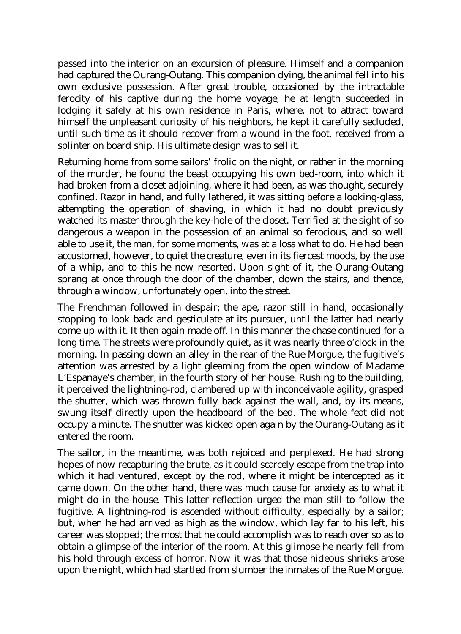passed into the interior on an excursion of pleasure. Himself and a companion had captured the Ourang-Outang. This companion dying, the animal fell into his own exclusive possession. After great trouble, occasioned by the intractable ferocity of his captive during the home voyage, he at length succeeded in lodging it safely at his own residence in Paris, where, not to attract toward himself the unpleasant curiosity of his neighbors, he kept it carefully secluded, until such time as it should recover from a wound in the foot, received from a splinter on board ship. His ultimate design was to sell it.

Returning home from some sailors' frolic on the night, or rather in the morning of the murder, he found the beast occupying his own bed-room, into which it had broken from a closet adjoining, where it had been, as was thought, securely confined. Razor in hand, and fully lathered, it was sitting before a looking-glass, attempting the operation of shaving, in which it had no doubt previously watched its master through the key-hole of the closet. Terrified at the sight of so dangerous a weapon in the possession of an animal so ferocious, and so well able to use it, the man, for some moments, was at a loss what to do. He had been accustomed, however, to quiet the creature, even in its fiercest moods, by the use of a whip, and to this he now resorted. Upon sight of it, the Ourang-Outang sprang at once through the door of the chamber, down the stairs, and thence, through a window, unfortunately open, into the street.

The Frenchman followed in despair; the ape, razor still in hand, occasionally stopping to look back and gesticulate at its pursuer, until the latter had nearly come up with it. It then again made off. In this manner the chase continued for a long time. The streets were profoundly quiet, as it was nearly three o'clock in the morning. In passing down an alley in the rear of the Rue Morgue, the fugitive's attention was arrested by a light gleaming from the open window of Madame L'Espanaye's chamber, in the fourth story of her house. Rushing to the building, it perceived the lightning-rod, clambered up with inconceivable agility, grasped the shutter, which was thrown fully back against the wall, and, by its means, swung itself directly upon the headboard of the bed. The whole feat did not occupy a minute. The shutter was kicked open again by the Ourang-Outang as it entered the room.

The sailor, in the meantime, was both rejoiced and perplexed. He had strong hopes of now recapturing the brute, as it could scarcely escape from the trap into which it had ventured, except by the rod, where it might be intercepted as it came down. On the other hand, there was much cause for anxiety as to what it might do in the house. This latter reflection urged the man still to follow the fugitive. A lightning-rod is ascended without difficulty, especially by a sailor; but, when he had arrived as high as the window, which lay far to his left, his career was stopped; the most that he could accomplish was to reach over so as to obtain a glimpse of the interior of the room. At this glimpse he nearly fell from his hold through excess of horror. Now it was that those hideous shrieks arose upon the night, which had startled from slumber the inmates of the Rue Morgue.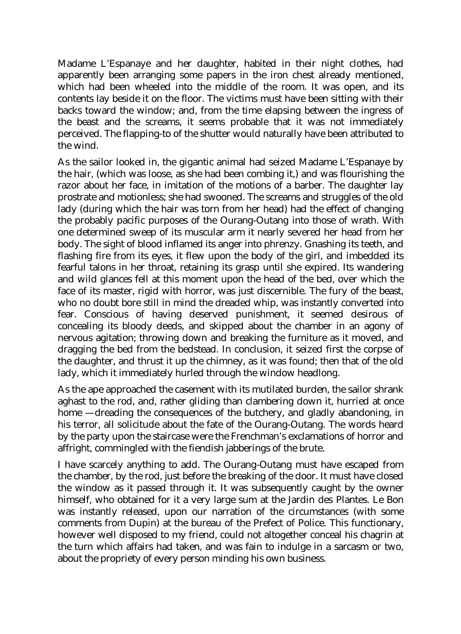Madame L'Espanaye and her daughter, habited in their night clothes, had apparently been arranging some papers in the iron chest already mentioned, which had been wheeled into the middle of the room. It was open, and its contents lay beside it on the floor. The victims must have been sitting with their backs toward the window; and, from the time elapsing between the ingress of the beast and the screams, it seems probable that it was not immediately perceived. The flapping-to of the shutter would naturally have been attributed to the wind.

As the sailor looked in, the gigantic animal had seized Madame L'Espanaye by the hair, (which was loose, as she had been combing it,) and was flourishing the razor about her face, in imitation of the motions of a barber. The daughter lay prostrate and motionless; she had swooned. The screams and struggles of the old lady (during which the hair was torn from her head) had the effect of changing the probably pacific purposes of the Ourang-Outang into those of wrath. With one determined sweep of its muscular arm it nearly severed her head from her body. The sight of blood inflamed its anger into phrenzy. Gnashing its teeth, and flashing fire from its eyes, it flew upon the body of the girl, and imbedded its fearful talons in her throat, retaining its grasp until she expired. Its wandering and wild glances fell at this moment upon the head of the bed, over which the face of its master, rigid with horror, was just discernible. The fury of the beast, who no doubt bore still in mind the dreaded whip, was instantly converted into fear. Conscious of having deserved punishment, it seemed desirous of concealing its bloody deeds, and skipped about the chamber in an agony of nervous agitation; throwing down and breaking the furniture as it moved, and dragging the bed from the bedstead. In conclusion, it seized first the corpse of the daughter, and thrust it up the chimney, as it was found; then that of the old lady, which it immediately hurled through the window headlong.

As the ape approached the casement with its mutilated burden, the sailor shrank aghast to the rod, and, rather gliding than clambering down it, hurried at once home —dreading the consequences of the butchery, and gladly abandoning, in his terror, all solicitude about the fate of the Ourang-Outang. The words heard by the party upon the staircase were the Frenchman's exclamations of horror and affright, commingled with the fiendish jabberings of the brute.

I have scarcely anything to add. The Ourang-Outang must have escaped from the chamber, by the rod, just before the breaking of the door. It must have closed the window as it passed through it. It was subsequently caught by the owner himself, who obtained for it a very large sum at the Jardin des Plantes. Le Bon was instantly released, upon our narration of the circumstances (with some comments from Dupin) at the bureau of the Prefect of Police. This functionary, however well disposed to my friend, could not altogether conceal his chagrin at the turn which affairs had taken, and was fain to indulge in a sarcasm or two, about the propriety of every person minding his own business.